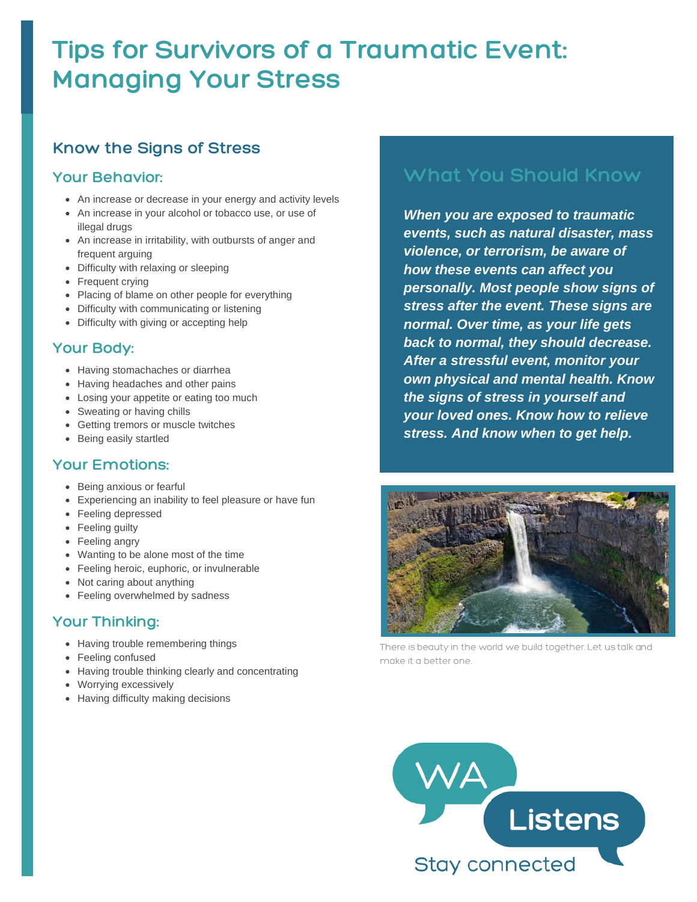# **Tips for Survivors of a Traumatic Event: Managing Your Stress**

### **Know the Signs of Stress**

### **Your Behavior:**

- An increase or decrease in your energy and activity levels
- An increase in your alcohol or tobacco use, or use of illegal drugs
- An increase in irritability, with outbursts of anger and frequent arguing
- Difficulty with relaxing or sleeping
- Frequent crying
- Placing of blame on other people for everything
- Difficulty with communicating or listening
- Difficulty with giving or accepting help

### **Your Body:**

- Having stomachaches or diarrhea
- Having headaches and other pains
- Losing your appetite or eating too much
- Sweating or having chills
- Getting tremors or muscle twitches
- Being easily startled

#### **Your Emotions:**

- Being anxious or fearful
- Experiencing an inability to feel pleasure or have fun
- Feeling depressed
- Feeling guilty
- Feeling angry
- Wanting to be alone most of the time
- Feeling heroic, euphoric, or invulnerable
- Not caring about anything
- Feeling overwhelmed by sadness

### **Your Thinking:**

- Having trouble remembering things
- Feeling confused
- Having trouble thinking clearly and concentrating
- Worrying excessively
- Having difficulty making decisions

### **What You Should Know**

*When you are exposed to traumatic events, such as natural disaster, mass violence, or terrorism, be aware of how these events can affect you personally. Most people show signs of stress after the event. These signs are normal. Over time, as your life gets back to normal, they should decrease. After a stressful event, monitor your own physical and mental health. Know the signs of stress in yourself and your loved ones. Know how to relieve stress. And know when to get help.*



There is beauty in the world we build together. Let us talk and make it a better one.